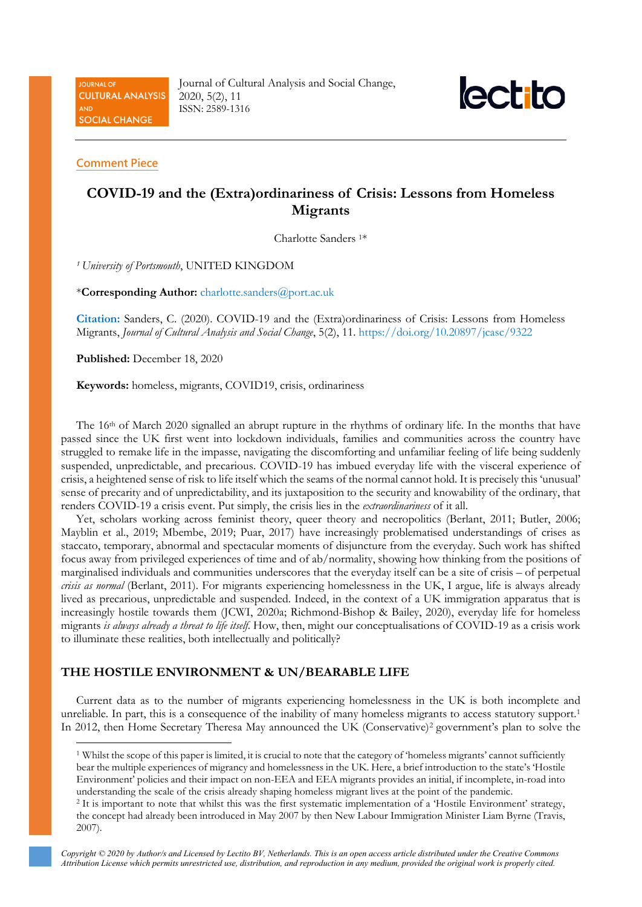**JOURNAL OF CULTURAL ANALYSIS** AND **SOCIAL CHANGE** 

Journal of Cultural Analysis and Social Change, 2020, 5(2), 11 ISSN: 2589-1316



#### **Comment Piece**

# **COVID-19 and the (Extra)ordinariness of Crisis: Lessons from Homeless Migrants**

Charlotte Sanders 1\*

*<sup>1</sup> University of Portsmouth*, UNITED KINGDOM

\***Corresponding Author:** [charlotte.sanders@port.ac.uk](mailto:charlotte.sanders@port.ac.uk)

**Citation:** Sanders, C. (2020). COVID-19 and the (Extra)ordinariness of Crisis: Lessons from Homeless Migrants, *Journal of Cultural Analysis and Social Change*, 5(2), 11. <https://doi.org/10.20897/jcasc/9322>

**Published:** December 18, 2020

**Keywords:** homeless, migrants, COVID19, crisis, ordinariness

The 16th of March 2020 signalled an abrupt rupture in the rhythms of ordinary life. In the months that have passed since the UK first went into lockdown individuals, families and communities across the country have struggled to remake life in the impasse, navigating the discomforting and unfamiliar feeling of life being suddenly suspended, unpredictable, and precarious. COVID-19 has imbued everyday life with the visceral experience of crisis, a heightened sense of risk to life itself which the seams of the normal cannot hold. It is precisely this 'unusual' sense of precarity and of unpredictability, and its juxtaposition to the security and knowability of the ordinary, that renders COVID-19 a crisis event. Put simply, the crisis lies in the *extraordinariness* of it all.

Yet, scholars working across feminist theory, queer theory and necropolitics (Berlant, 2011; Butler, 2006; Mayblin et al., 2019; Mbembe, 2019; Puar, 2017) have increasingly problematised understandings of crises as staccato, temporary, abnormal and spectacular moments of disjuncture from the everyday. Such work has shifted focus away from privileged experiences of time and of ab/normality, showing how thinking from the positions of marginalised individuals and communities underscores that the everyday itself can be a site of crisis – of perpetual *crisis as normal* (Berlant, 2011). For migrants experiencing homelessness in the UK, I argue, life is always already lived as precarious, unpredictable and suspended. Indeed, in the context of a UK immigration apparatus that is increasingly hostile towards them (JCWI, 2020a; Richmond-Bishop & Bailey, 2020), everyday life for homeless migrants *is always already a threat to life itself*. How, then, might our conceptualisations of COVID-19 as a crisis work to illuminate these realities, both intellectually and politically?

# **THE HOSTILE ENVIRONMENT & UN/BEARABLE LIFE**

Current data as to the number of migrants experiencing homelessness in the UK is both incomplete and unreliable. In part, this is a consequence of the inability of many homeless migrants to access statutory support.<sup>1</sup> In 2012, then Home Secretary Theresa May announced the UK (Conservative)[2](#page-0-1) government's plan to solve the

<span id="page-0-0"></span><sup>1</sup> Whilst the scope of this paper is limited, it is crucial to note that the category of 'homeless migrants' cannot sufficiently bear the multiple experiences of migrancy and homelessness in the UK. Here, a brief introduction to the state's 'Hostile Environment' policies and their impact on non-EEA and EEA migrants provides an initial, if incomplete, in-road into understanding the scale of the crisis already shaping homeless migrant lives at the point of the pandemic.

<span id="page-0-1"></span><sup>2</sup> It is important to note that whilst this was the first systematic implementation of a 'Hostile Environment' strategy, the concept had already been introduced in May 2007 by then New Labour Immigration Minister Liam Byrne (Travis, 2007).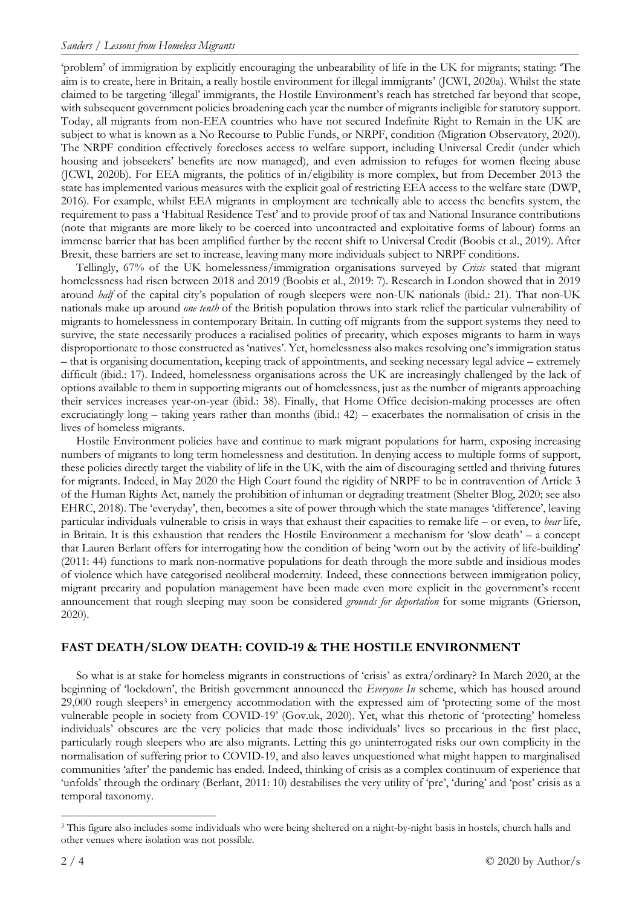'problem' of immigration by explicitly encouraging the unbearability of life in the UK for migrants; stating: 'The aim is to create, here in Britain, a really hostile environment for illegal immigrants' (JCWI, 2020a). Whilst the state claimed to be targeting 'illegal' immigrants, the Hostile Environment's reach has stretched far beyond that scope, with subsequent government policies broadening each year the number of migrants ineligible for statutory support. Today, all migrants from non-EEA countries who have not secured Indefinite Right to Remain in the UK are subject to what is known as a No Recourse to Public Funds, or NRPF, condition (Migration Observatory, 2020). The NRPF condition effectively forecloses access to welfare support, including Universal Credit (under which housing and jobseekers' benefits are now managed), and even admission to refuges for women fleeing abuse (JCWI, 2020b). For EEA migrants, the politics of in/eligibility is more complex, but from December 2013 the state has implemented various measures with the explicit goal of restricting EEA access to the welfare state (DWP, 2016). For example, whilst EEA migrants in employment are technically able to access the benefits system, the requirement to pass a 'Habitual Residence Test' and to provide proof of tax and National Insurance contributions (note that migrants are more likely to be coerced into uncontracted and exploitative forms of labour) forms an immense barrier that has been amplified further by the recent shift to Universal Credit (Boobis et al., 2019). After Brexit, these barriers are set to increase, leaving many more individuals subject to NRPF conditions.

Tellingly, 67% of the UK homelessness/immigration organisations surveyed by *Crisis* stated that migrant homelessness had risen between 2018 and 2019 (Boobis et al., 2019: 7). Research in London showed that in 2019 around *half* of the capital city's population of rough sleepers were non-UK nationals (ibid.: 21). That non-UK nationals make up around *one tenth* of the British population throws into stark relief the particular vulnerability of migrants to homelessness in contemporary Britain. In cutting off migrants from the support systems they need to survive, the state necessarily produces a racialised politics of precarity, which exposes migrants to harm in ways disproportionate to those constructed as 'natives'. Yet, homelessness also makes resolving one's immigration status – that is organising documentation, keeping track of appointments, and seeking necessary legal advice – extremely difficult (ibid.: 17). Indeed, homelessness organisations across the UK are increasingly challenged by the lack of options available to them in supporting migrants out of homelessness, just as the number of migrants approaching their services increases year-on-year (ibid.: 38). Finally, that Home Office decision-making processes are often excruciatingly long – taking years rather than months (ibid.: 42) – exacerbates the normalisation of crisis in the lives of homeless migrants.

Hostile Environment policies have and continue to mark migrant populations for harm, exposing increasing numbers of migrants to long term homelessness and destitution. In denying access to multiple forms of support, these policies directly target the viability of life in the UK, with the aim of discouraging settled and thriving futures for migrants. Indeed, in May 2020 the High Court found the rigidity of NRPF to be in contravention of Article 3 of the Human Rights Act, namely the prohibition of inhuman or degrading treatment (Shelter Blog, 2020; see also EHRC, 2018). The 'everyday', then, becomes a site of power through which the state manages 'difference', leaving particular individuals vulnerable to crisis in ways that exhaust their capacities to remake life – or even, to *bear* life, in Britain. It is this exhaustion that renders the Hostile Environment a mechanism for 'slow death' – a concept that Lauren Berlant offers for interrogating how the condition of being 'worn out by the activity of life-building' (2011: 44) functions to mark non-normative populations for death through the more subtle and insidious modes of violence which have categorised neoliberal modernity. Indeed, these connections between immigration policy, migrant precarity and population management have been made even more explicit in the government's recent announcement that rough sleeping may soon be considered *grounds for deportation* for some migrants (Grierson, 2020).

# **FAST DEATH/SLOW DEATH: COVID-19 & THE HOSTILE ENVIRONMENT**

So what is at stake for homeless migrants in constructions of 'crisis' as extra/ordinary? In March 2020, at the beginning of 'lockdown', the British government announced the *Everyone In* scheme, which has housed around 29,000 rough sleepers<sup>[3](#page-1-0)</sup> in emergency accommodation with the expressed aim of 'protecting some of the most vulnerable people in society from COVID-19' (Gov.uk, 2020). Yet, what this rhetoric of 'protecting' homeless individuals' obscures are the very policies that made those individuals' lives so precarious in the first place, particularly rough sleepers who are also migrants. Letting this go uninterrogated risks our own complicity in the normalisation of suffering prior to COVID-19, and also leaves unquestioned what might happen to marginalised communities 'after' the pandemic has ended. Indeed, thinking of crisis as a complex continuum of experience that 'unfolds' through the ordinary (Berlant, 2011: 10) destabilises the very utility of 'pre', 'during' and 'post' crisis as a temporal taxonomy.

<span id="page-1-0"></span><sup>&</sup>lt;sup>3</sup> This figure also includes some individuals who were being sheltered on a night-by-night basis in hostels, church halls and other venues where isolation was not possible.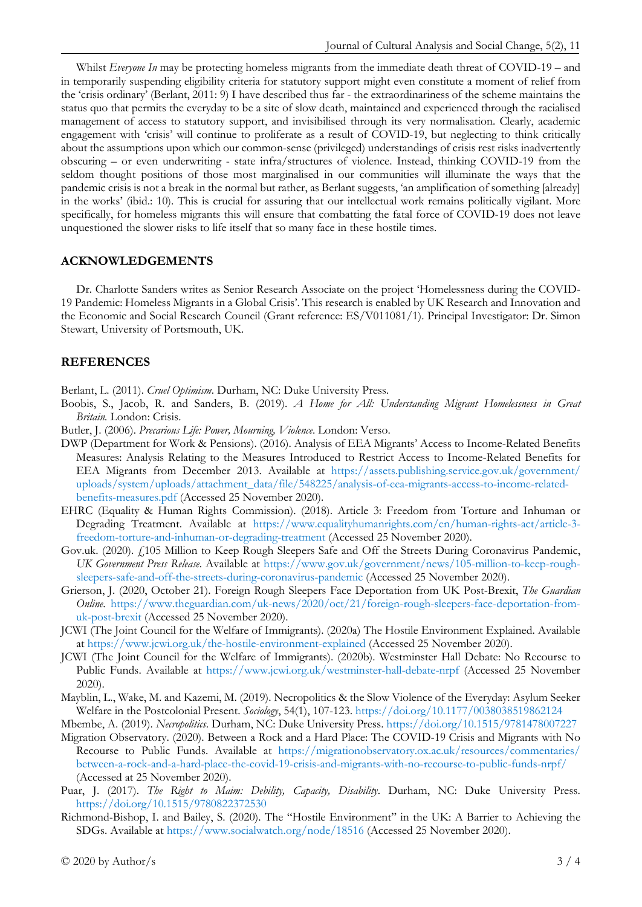Whilst *Everyone In* may be protecting homeless migrants from the immediate death threat of COVID-19 – and in temporarily suspending eligibility criteria for statutory support might even constitute a moment of relief from the 'crisis ordinary' (Berlant, 2011: 9) I have described thus far - the extraordinariness of the scheme maintains the status quo that permits the everyday to be a site of slow death, maintained and experienced through the racialised management of access to statutory support, and invisibilised through its very normalisation. Clearly, academic engagement with 'crisis' will continue to proliferate as a result of COVID-19, but neglecting to think critically about the assumptions upon which our common-sense (privileged) understandings of crisis rest risks inadvertently obscuring – or even underwriting - state infra/structures of violence. Instead, thinking COVID-19 from the seldom thought positions of those most marginalised in our communities will illuminate the ways that the pandemic crisis is not a break in the normal but rather, as Berlant suggests, 'an amplification of something [already] in the works' (ibid.: 10). This is crucial for assuring that our intellectual work remains politically vigilant. More specifically, for homeless migrants this will ensure that combatting the fatal force of COVID-19 does not leave unquestioned the slower risks to life itself that so many face in these hostile times.

### **ACKNOWLEDGEMENTS**

Dr. Charlotte Sanders writes as Senior Research Associate on the project 'Homelessness during the COVID-19 Pandemic: Homeless Migrants in a Global Crisis'. This research is enabled by UK Research and Innovation and the Economic and Social Research Council (Grant reference: ES/V011081/1). Principal Investigator: Dr. Simon Stewart, University of Portsmouth, UK.

#### **REFERENCES**

Berlant, L. (2011). *Cruel Optimism*. Durham, NC: Duke University Press.

- Boobis, S., Jacob, R. and Sanders, B. (2019). *A Home for All: Understanding Migrant Homelessness in Great Britain.* London: Crisis.
- Butler, J. (2006). *Precarious Life: Power, Mourning, Violence*. London: Verso.
- DWP (Department for Work & Pensions). (2016). Analysis of EEA Migrants' Access to Income-Related Benefits Measures: Analysis Relating to the Measures Introduced to Restrict Access to Income-Related Benefits for EEA Migrants from December 2013. Available at [https://assets.publishing.service.gov.uk/government/](https://assets.publishing.service.gov.uk/government/uploads/system/uploads/attachment_data/file/548225/analysis-of-eea-migrants-access-to-income-related-benefits-measures.pdf) [uploads/system/uploads/attachment\\_data/file/548225/analysis-of-eea-migrants-access-to-income-related](https://assets.publishing.service.gov.uk/government/uploads/system/uploads/attachment_data/file/548225/analysis-of-eea-migrants-access-to-income-related-benefits-measures.pdf)[benefits-measures.pdf](https://assets.publishing.service.gov.uk/government/uploads/system/uploads/attachment_data/file/548225/analysis-of-eea-migrants-access-to-income-related-benefits-measures.pdf) (Accessed 25 November 2020).
- EHRC (Equality & Human Rights Commission). (2018). Article 3: Freedom from Torture and Inhuman or Degrading Treatment. Available at [https://www.equalityhumanrights.com/en/human-rights-act/article-3](https://www.equalityhumanrights.com/en/human-rights-act/article-3-freedom-torture-and-inhuman-or-degrading-treatment) [freedom-torture-and-inhuman-or-degrading-treatment](https://www.equalityhumanrights.com/en/human-rights-act/article-3-freedom-torture-and-inhuman-or-degrading-treatment) (Accessed 25 November 2020).
- Gov.uk. (2020). £105 Million to Keep Rough Sleepers Safe and Off the Streets During Coronavirus Pandemic, *UK Government Press Release*. Available at [https://www.gov.uk/government/news/105-million-to-keep-rough](https://www.gov.uk/government/news/105-million-to-keep-rough-sleepers-safe-and-off-the-streets-during-coronavirus-pandemic)[sleepers-safe-and-off-the-streets-during-coronavirus-pandemic](https://www.gov.uk/government/news/105-million-to-keep-rough-sleepers-safe-and-off-the-streets-during-coronavirus-pandemic) (Accessed 25 November 2020).
- Grierson, J. (2020, October 21). Foreign Rough Sleepers Face Deportation from UK Post-Brexit, *The Guardian Online*. [https://www.theguardian.com/uk-news/2020/oct/21/foreign-rough-sleepers-face-deportation-from](https://www.theguardian.com/uk-news/2020/oct/21/foreign-rough-sleepers-face-deportation-from-uk-post-brexit)[uk-post-brexit](https://www.theguardian.com/uk-news/2020/oct/21/foreign-rough-sleepers-face-deportation-from-uk-post-brexit) (Accessed 25 November 2020).
- JCWI (The Joint Council for the Welfare of Immigrants). (2020a) The Hostile Environment Explained. Available at<https://www.jcwi.org.uk/the-hostile-environment-explained> (Accessed 25 November 2020).
- JCWI (The Joint Council for the Welfare of Immigrants). (2020b). Westminster Hall Debate: No Recourse to Public Funds. Available at <https://www.jcwi.org.uk/westminster-hall-debate-nrpf> (Accessed 25 November 2020).
- Mayblin, L., Wake, M. and Kazemi, M. (2019). Necropolitics & the Slow Violence of the Everyday: Asylum Seeker Welfare in the Postcolonial Present. *Sociology*, 54(1), 107-123.<https://doi.org/10.1177/0038038519862124>
- Mbembe, A. (2019). *Necropolitics*. Durham, NC: Duke University Press.<https://doi.org/10.1515/9781478007227>
- Migration Observatory. (2020). Between a Rock and a Hard Place: The COVID-19 Crisis and Migrants with No Recourse to Public Funds. Available at [https://migrationobservatory.ox.ac.uk/resources/commentaries/](https://migrationobservatory.ox.ac.uk/resources/commentaries/between-a-rock-and-a-hard-place-the-covid-19-crisis-and-migrants-with-no-recourse-to-public-funds-nrpf/) [between-a-rock-and-a-hard-place-the-covid-19-crisis-and-migrants-with-no-recourse-to-public-funds-nrpf/](https://migrationobservatory.ox.ac.uk/resources/commentaries/between-a-rock-and-a-hard-place-the-covid-19-crisis-and-migrants-with-no-recourse-to-public-funds-nrpf/) (Accessed at 25 November 2020).
- Puar, J. (2017). *The Right to Maim: Debility, Capacity, Disability*. Durham, NC: Duke University Press. <https://doi.org/10.1515/9780822372530>
- Richmond-Bishop, I. and Bailey, S. (2020). The "Hostile Environment" in the UK: A Barrier to Achieving the SDGs. Available at<https://www.socialwatch.org/node/18516> (Accessed 25 November 2020).